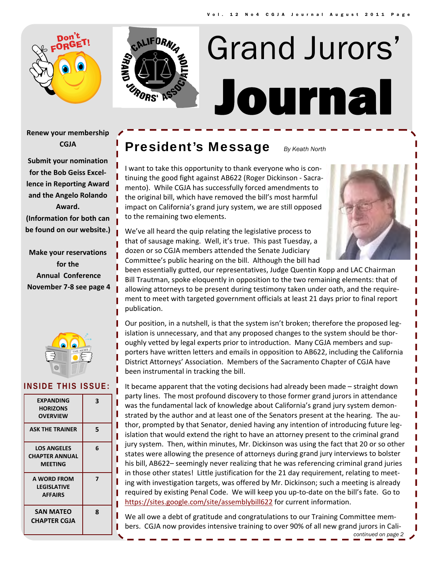



# Journal Grand Jurors'

**Renew your membership CGJA**

**Submit your nomination for the Bob Geiss Excel‐ lence in Reporting Award and the Angelo Rolando Award. (Information for both can be found on our website.)**

**Make your reservations for the Annual Conference November 7‐8 see page 4**



#### **INSIDE THIS ISSUE:**

| EXPANDING<br><b>HORIZONS</b><br><b>OVERVIEW</b>               | 3 |
|---------------------------------------------------------------|---|
| <b>ASK THE TRAINER</b>                                        | 5 |
| <b>LOS ANGELES</b><br><b>CHAPTER ANNUAL</b><br><b>MEETING</b> | 6 |
| A WORD FROM<br><b>LEGISLATIVE</b><br><b>AFFAIRS</b>           | 7 |
| <b>SAN MATEO</b><br><b>CHAPTER CGJA</b>                       | 8 |

## **President's Message** *By Keath North*

I want to take this opportunity to thank everyone who is con‐ tinuing the good fight against AB622 (Roger Dickinson ‐ Sacra‐ mento). While CGJA has successfully forced amendments to the original bill, which have removed the bill's most harmful impact on California's grand jury system, we are still opposed to the remaining two elements.



We've all heard the quip relating the legislative process to that of sausage making. Well, it's true. This past Tuesday, a dozen or so CGJA members attended the Senate Judiciary Committee's public hearing on the bill. Although the bill had

been essentially gutted, our representatives, Judge Quentin Kopp and LAC Chairman Bill Trautman, spoke eloquently in opposition to the two remaining elements: that of allowing attorneys to be present during testimony taken under oath, and the require‐ ment to meet with targeted government officials at least 21 days prior to final report publication.

Our position, in a nutshell, is that the system isn't broken; therefore the proposed leg‐ islation is unnecessary, and that any proposed changes to the system should be thor‐ oughly vetted by legal experts prior to introduction. Many CGJA members and sup‐ porters have written letters and emails in opposition to AB622, including the California District Attorneys' Association. Members of the Sacramento Chapter of CGJA have been instrumental in tracking the bill.

It became apparent that the voting decisions had already been made – straight down party lines. The most profound discovery to those former grand jurors in attendance was the fundamental lack of knowledge about California's grand jury system demonstrated by the author and at least one of the Senators present at the hearing. The au‐ thor, prompted by that Senator, denied having any intention of introducing future legislation that would extend the right to have an attorney present to the criminal grand jury system. Then, within minutes, Mr. Dickinson was using the fact that 20 or so other states were allowing the presence of attorneys during grand jury interviews to bolster his bill, AB622– seemingly never realizing that he was referencing criminal grand juries in those other states! Little justification for the 21 day requirement, relating to meeting with investigation targets, was offered by Mr. Dickinson; such a meeting is already required by existing Penal Code. We will keep you up-to-date on the bill's fate. Go to https://sites.google.com/site/assemblybill622 for current information.

We all owe a debt of gratitude and congratulations to our Training Committee members. CGJA now provides intensive training to over 90% of all new grand jurors in Cali‐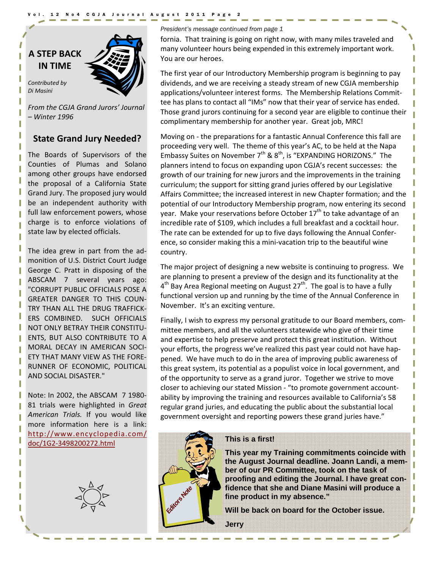Vol. 12 No4 CGJA Journal August 2011 Page 2

## **A STEP BACK IN TIME**

*Contributed by Di Masini*

*From the CGJA Grand Jurors' Journal – Winter 1996*

## **State Grand Jury Needed?**

The Boards of Supervisors of the Counties of Plumas and Solano among other groups have endorsed the proposal of a California State Grand Jury. The proposed jury would be an independent authority with full law enforcement powers, whose charge is to enforce violations of state law by elected officials.

The idea grew in part from the ad‐ monition of U.S. District Court Judge George C. Pratt in disposing of the ABSCAM 7 several years ago: "CORRUPT PUBLIC OFFICIALS POSE A GREATER DANGER TO THIS COUN‐ TRY THAN ALL THE DRUG TRAFFICK‐ ERS COMBINED. SUCH OFFICIALS NOT ONLY BETRAY THEIR CONSTITU‐ ENTS, BUT ALSO CONTRIBUTE TO A MORAL DECAY IN AMERICAN SOCI‐ ETY THAT MANY VIEW AS THE FORE‐ RUNNER OF ECONOMIC, POLITICAL AND SOCIAL DISASTER."

Note: In 2002, the ABSCAM 7 1980‐ 81 trials were highlighted in *Great American Trials.* If you would like more information here is a link: http://www.encyclopedia.com/ doc/1G2‐3498200272.html



*President's message continued from page 1* 

fornia. That training is going on right now, with many miles traveled and many volunteer hours being expended in this extremely important work. You are our heroes.

The first year of our Introductory Membership program is beginning to pay dividends, and we are receiving a steady stream of new CGJA membership applications/volunteer interest forms. The Membership Relations Commit‐ tee has plans to contact all "IMs" now that their year of service has ended. Those grand jurors continuing for a second year are eligible to continue their complimentary membership for another year. Great job, MRC!

Moving on ‐ the preparations for a fantastic Annual Conference this fall are proceeding very well. The theme of this year's AC, to be held at the Napa Embassy Suites on November  $7<sup>th</sup>$  &  $8<sup>th</sup>$ , is "EXPANDING HORIZONS." The planners intend to focus on expanding upon CGJA's recent successes: the growth of our training for new jurors and the improvements in the training curriculum; the support for sitting grand juries offered by our Legislative Affairs Committee; the increased interest in new Chapter formation; and the potential of our Introductory Membership program, now entering its second year. Make your reservations before October  $17<sup>th</sup>$  to take advantage of an incredible rate of \$109, which includes a full breakfast and a cocktail hour. The rate can be extended for up to five days following the Annual Confer‐ ence, so consider making this a mini‐vacation trip to the beautiful wine country.

The major project of designing a new website is continuing to progress. We are planning to present a preview of the design and its functionality at the  $4<sup>th</sup>$  Bay Area Regional meeting on August 27<sup>th</sup>. The goal is to have a fully functional version up and running by the time of the Annual Conference in November. It's an exciting venture.

Finally, I wish to express my personal gratitude to our Board members, com‐ mittee members, and all the volunteers statewide who give of their time and expertise to help preserve and protect this great institution. Without your efforts, the progress we've realized this past year could not have hap‐ pened. We have much to do in the area of improving public awareness of this great system, its potential as a populist voice in local government, and of the opportunity to serve as a grand juror. Together we strive to move closer to achieving our stated Mission ‐ "to promote government account‐ ability by improving the training and resources available to California's 58 regular grand juries, and educating the public about the substantial local government oversight and reporting powers these grand juries have."



#### **This is a first!**

**This year my Training commitments coincide with the August Journal deadline. Joann Landi, a member of our PR Committee, took on the task of proofing and editing the Journal. I have great confidence that she and Diane Masini will produce a fine product in my absence."** 

**Will be back on board for the October issue.** 

**Jerry**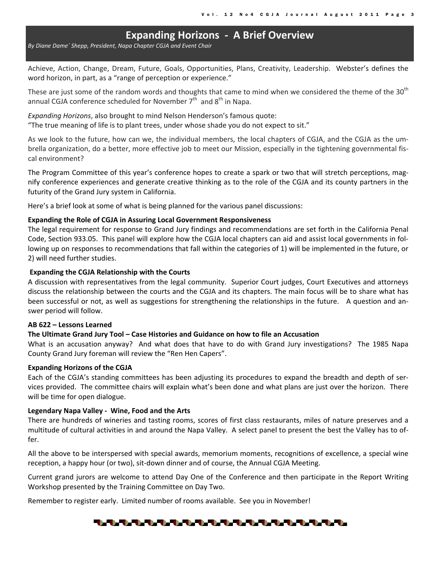## **Expanding Horizons ‐ A Brief Overview**

*By Diane Dame´ Shepp, President, Napa Chapter CGJA and Event Chair*

Achieve, Action, Change, Dream, Future, Goals, Opportunities, Plans, Creativity, Leadership. Webster's defines the word horizon, in part, as a "range of perception or experience."

These are just some of the random words and thoughts that came to mind when we considered the theme of the 30<sup>th</sup> annual CGJA conference scheduled for November  $7<sup>th</sup>$  and  $8<sup>th</sup>$  in Napa.

*Expanding Horizons*, also brought to mind Nelson Henderson's famous quote:

"The true meaning of life is to plant trees, under whose shade you do not expect to sit."

As we look to the future, how can we, the individual members, the local chapters of CGJA, and the CGJA as the um‐ brella organization, do a better, more effective job to meet our Mission, especially in the tightening governmental fis‐ cal environment?

The Program Committee of this year's conference hopes to create a spark or two that will stretch perceptions, magnify conference experiences and generate creative thinking as to the role of the CGJA and its county partners in the futurity of the Grand Jury system in California.

Here's a brief look at some of what is being planned for the various panel discussions:

#### **Expanding the Role of CGJA in Assuring Local Government Responsiveness**

The legal requirement for response to Grand Jury findings and recommendations are set forth in the California Penal Code, Section 933.05. This panel will explore how the CGJA local chapters can aid and assist local governments in fol‐ lowing up on responses to recommendations that fall within the categories of 1) will be implemented in the future, or 2) will need further studies.

#### **Expanding the CGJA Relationship with the Courts**

A discussion with representatives from the legal community. Superior Court judges, Court Executives and attorneys discuss the relationship between the courts and the CGJA and its chapters. The main focus will be to share what has been successful or not, as well as suggestions for strengthening the relationships in the future. A question and answer period will follow.

#### **AB 622 – Lessons Learned**

#### **The Ultimate Grand Jury Tool – Case Histories and Guidance on how to file an Accusation**

What is an accusation anyway? And what does that have to do with Grand Jury investigations? The 1985 Napa County Grand Jury foreman will review the "Ren Hen Capers".

#### **Expanding Horizons of the CGJA**

Each of the CGJA's standing committees has been adjusting its procedures to expand the breadth and depth of ser‐ vices provided. The committee chairs will explain what's been done and what plans are just over the horizon. There will be time for open dialogue.

#### **Legendary Napa Valley ‐ Wine, Food and the Arts**

There are hundreds of wineries and tasting rooms, scores of first class restaurants, miles of nature preserves and a multitude of cultural activities in and around the Napa Valley. A select panel to present the best the Valley has to of‐ fer.

All the above to be interspersed with special awards, memorium moments, recognitions of excellence, a special wine reception, a happy hour (or two), sit‐down dinner and of course, the Annual CGJA Meeting.

Current grand jurors are welcome to attend Day One of the Conference and then participate in the Report Writing Workshop presented by the Training Committee on Day Two.

Remember to register early. Limited number of rooms available. See you in November!

#### ▜▖▜▖▜▖▜▖▜▖▜▖▜▖▜▖▜▖▜▖▜▖▜▖▜▖▜▖▜▖▜▖▜▖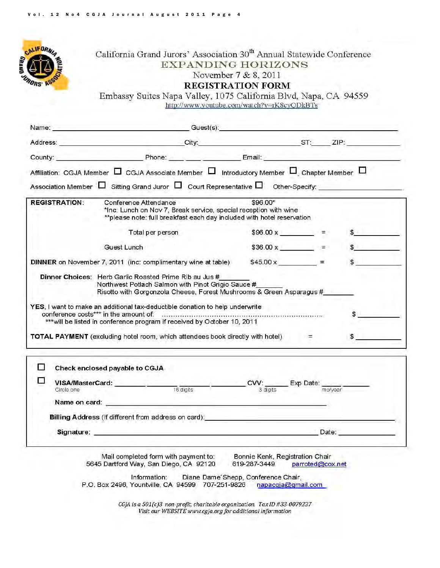

## California Grand Jurors' Association 30<sup>th</sup> Annual Statewide Conference **EXPANDING HORIZONS** November 7 & 8, 2011 **REGISTRATION FORM**

Embassy Suites Napa Valley, 1075 California Blvd, Napa, CA 94559 http://www.youtube.com/watch?v=rK8cyQDkBTs

|                      | Name: Guest(s): Guest(s):                                                                                                                                                                                                                                                                                            |                                 |                  |
|----------------------|----------------------------------------------------------------------------------------------------------------------------------------------------------------------------------------------------------------------------------------------------------------------------------------------------------------------|---------------------------------|------------------|
|                      |                                                                                                                                                                                                                                                                                                                      |                                 |                  |
|                      | County: Phone: Phone: Email: Email:                                                                                                                                                                                                                                                                                  |                                 |                  |
|                      | Affiliation: CGJA Member $\Box$ CGJA Associate Member $\Box$ Introductory Member $\Box$ Chapter Member $\Box$                                                                                                                                                                                                        |                                 |                  |
|                      | Association Member $\Box$ Sitting Grand Juror $\Box$ Court Representative $\Box$ Other-Specify:                                                                                                                                                                                                                      |                                 |                  |
| <b>REGISTRATION:</b> | Conference Attendance<br>*Inc: Lunch on Nov 7, Break service, special reception with wine<br>** please note: full breakfast each day included with hotel reservation                                                                                                                                                 | \$96.00*                        |                  |
|                      | Total per person                                                                                                                                                                                                                                                                                                     | $$96.00 \times =$               | $S^{\text{max}}$ |
|                      | Guest Lunch                                                                                                                                                                                                                                                                                                          | $$36.00 \times$ =               | $\sim$           |
|                      | <b>DINNER</b> on November 7, 2011 (inc. complimentary wine at table) $$45.00 \times$ = $=$                                                                                                                                                                                                                           |                                 |                  |
|                      | Risotto with Gorgonzola Cheese, Forest Mushrooms & Green Asparagus #<br>YES, I want to make an additional tax-deductible donation to help underwrite<br>*** will be listed in conference program if received by October 10, 2011<br>TOTAL PAYMENT (excluding hotel room, which attendees book directly with hotel) = |                                 | $\sim$           |
| $\mathcal{I}$ .      | Check enclosed payable to CGJA                                                                                                                                                                                                                                                                                       |                                 |                  |
| <b>THE ST</b>        | <b>VISA/MasterCard:</b> CWV: Exp Date: Card: CVV: Exp Date: Circle one                                                                                                                                                                                                                                               |                                 |                  |
|                      |                                                                                                                                                                                                                                                                                                                      |                                 |                  |
| Name on card:        |                                                                                                                                                                                                                                                                                                                      |                                 |                  |
|                      | Billing Address (If different from address on card): Network and the state of the state of the state of the state of the state of the state of the state of the state of the state of the state of the state of the state of t                                                                                       |                                 |                  |
|                      | Signature: Date: Date: Date: Date: Date: Date: Date: Date: Date: Date: Date: Date: Date: Date: Date: Date: Date: Date: Date: Date: Date: Date: Date: Date: Date: Date: Date: Date: Date: Date: Date: Date: Date: Date: Date: D                                                                                       |                                 |                  |
|                      |                                                                                                                                                                                                                                                                                                                      |                                 |                  |
|                      | Mail completed form with payment to:                                                                                                                                                                                                                                                                                 | Bonnie Kenk, Registration Chair |                  |
|                      | 5645 Dartford Way, San Diego, CA 92120                                                                                                                                                                                                                                                                               | 619-287-3449 parroted@cox.net   |                  |

Information: Diane Dame Shepp, Conference Chair,<br>P.O. Box 2496, Yountville, CA 94599 707-251-9826 napacqja@gma napacgja@gmail.com

> CGJA is a 501(c)3 non-profit, charitable organization. Tax ID #33-0079227 Visit our WEBSITE www.cgja.org for additional information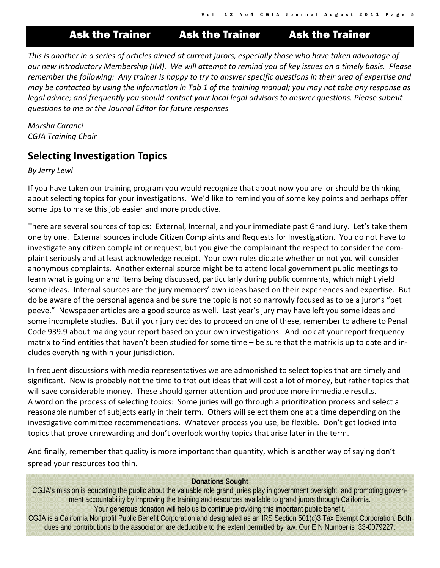Ask the Trainer Ask the Trainer Ask the Trainer

This is another in a series of articles aimed at current jurors, especially those who have taken advantage of our new Introductory Membership (IM). We will attempt to remind you of key issues on a timely basis. Please remember the following: Any trainer is happy to try to answer specific questions in their area of expertise and may be contacted by using the information in Tab 1 of the training manual; you may not take any response as *legal advice; and frequently you should contact your local legal advisors to answer questions. Please submit questions to me or the Journal Editor for future responses*

*Marsha Caranci CGJA Training Chair*

## **Selecting Investigation Topics**

*By Jerry Lewi*

If you have taken our training program you would recognize that about now you are or should be thinking about selecting topics for your investigations. We'd like to remind you of some key points and perhaps offer some tips to make this job easier and more productive.

There are several sources of topics: External, Internal, and your immediate past Grand Jury. Let's take them one by one. External sources include Citizen Complaints and Requests for Investigation. You do not have to investigate any citizen complaint or request, but you give the complainant the respect to consider the com‐ plaint seriously and at least acknowledge receipt. Your own rules dictate whether or not you will consider anonymous complaints. Another external source might be to attend local government public meetings to learn what is going on and items being discussed, particularly during public comments, which might yield some ideas. Internal sources are the jury members' own ideas based on their experiences and expertise. But do be aware of the personal agenda and be sure the topic is not so narrowly focused as to be a juror's "pet peeve." Newspaper articles are a good source as well. Last year's jury may have left you some ideas and some incomplete studies. But if your jury decides to proceed on one of these, remember to adhere to Penal Code 939.9 about making your report based on your own investigations. And look at your report frequency matrix to find entities that haven't been studied for some time – be sure that the matrix is up to date and in‐ cludes everything within your jurisdiction.

In frequent discussions with media representatives we are admonished to select topics that are timely and significant. Now is probably not the time to trot out ideas that will cost a lot of money, but rather topics that will save considerable money. These should garner attention and produce more immediate results. A word on the process of selecting topics: Some juries will go through a prioritization process and select a reasonable number of subjects early in their term. Others will select them one at a time depending on the investigative committee recommendations. Whatever process you use, be flexible. Don't get locked into topics that prove unrewarding and don't overlook worthy topics that arise later in the term.

And finally, remember that quality is more important than quantity, which is another way of saying don't spread your resources too thin.

#### **Donations Sought**

CGJA's mission is educating the public about the valuable role grand juries play in government oversight, and promoting government accountability by improving the training and resources available to grand jurors through California. Your generous donation will help us to continue providing this important public benefit.

CGJA is a California Nonprofit Public Benefit Corporation and designated as an IRS Section 501(c)3 Tax Exempt Corporation. Both dues and contributions to the association are deductible to the extent permitted by law. Our EIN Number is 33-0079227.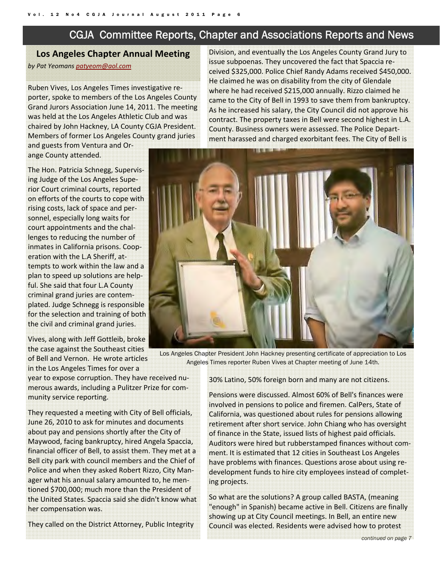## CGJA Committee Reports, Chapter and Associations Reports and News

## **Los Angeles Chapter Annual Meeting** *by Pat Yeomans patyeom@aol.com*

Ruben Vives, Los Angeles Times investigative re‐ porter, spoke to members of the Los Angeles County Grand Jurors Association June 14, 2011. The meeting was held at the Los Angeles Athletic Club and was chaired by John Hackney, LA County CGJA President. Members of former Los Angeles County grand juries

and guests from Ventura and Or‐ ange County attended.

The Hon. Patricia Schnegg, Supervis‐ ing Judge of the Los Angeles Supe‐ rior Court criminal courts, reported on efforts of the courts to cope with rising costs, lack of space and per‐ sonnel, especially long waits for court appointments and the chal‐ lenges to reducing the number of inmates in California prisons. Coop‐ eration with the L.A Sheriff, at‐ tempts to work within the law and a plan to speed up solutions are help‐ ful. She said that four L.A County criminal grand juries are contem‐ plated. Judge Schnegg is responsible for the selection and training of both the civil and criminal grand juries.

Vives, along with Jeff Gottleib, broke the case against the Southeast cities of Bell and Vernon. He wrote articles in the Los Angeles Times for over a

year to expose corruption. They have received nu‐ merous awards, including a Pulitzer Prize for com‐ munity service reporting.

They requested a meeting with City of Bell officials, June 26, 2010 to ask for minutes and documents about pay and pensions shortly after the City of Maywood, facing bankruptcy, hired Angela Spaccia, financial officer of Bell, to assist them. They met at a Bell city park with council members and the Chief of Police and when they asked Robert Rizzo, City Man‐ ager what his annual salary amounted to, he men‐ tioned \$700,000; much more than the President of the United States. Spaccia said she didn't know what her compensation was.

They called on the District Attorney, Public Integrity

Division, and eventually the Los Angeles County Grand Jury to issue subpoenas. They uncovered the fact that Spaccia re‐ ceived \$325,000. Police Chief Randy Adams received \$450,000. He claimed he was on disability from the city of Glendale where he had received \$215,000 annually. Rizzo claimed he came to the City of Bell in 1993 to save them from bankruptcy. As he increased his salary, the City Council did not approve his contract. The property taxes in Bell were second highest in L.A. County. Business owners were assessed. The Police Depart‐ ment harassed and charged exorbitant fees. The City of Bell is



Los Angeles Chapter President John Hackney presenting certificate of appreciation to Los Angeles Times reporter Ruben Vives at Chapter meeting of June 14th.

30% Latino, 50% foreign born and many are not citizens.

Pensions were discussed. Almost 60% of Bell's finances were involved in pensions to police and firemen. CalPers, State of California, was questioned about rules for pensions allowing retirement after short service. John Chiang who has oversight of finance in the State, issued lists of highest paid officials. Auditors were hired but rubberstamped finances without com‐ ment. It is estimated that 12 cities in Southeast Los Angeles have problems with finances. Questions arose about using re‐ development funds to hire city employees instead of complet‐ ing projects.

So what are the solutions? A group called BASTA, (meaning "enough" in Spanish) became active in Bell. Citizens are finally showing up at City Council meetings. In Bell, an entire new Council was elected. Residents were advised how to protest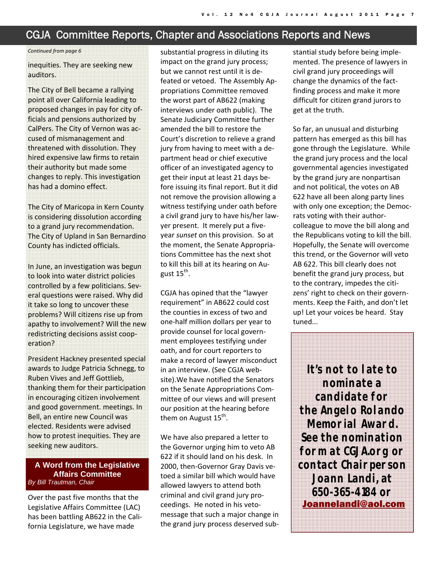## CGJA Committee Reports, Chapter and Associations Reports and News

#### *Continued from page 6*

inequities. They are seeking new auditors.

The City of Bell became a rallying point all over California leading to proposed changes in pay for city of‐ ficials and pensions authorized by CalPers. The City of Vernon was ac‐ cused of mismanagement and threatened with dissolution. They hired expensive law firms to retain their authority but made some changes to reply. This investigation has had a domino effect.

The City of Maricopa in Kern County is considering dissolution according to a grand jury recommendation. The City of Upland in San Bernardino County has indicted officials.

In June, an investigation was begun to look into water district policies controlled by a few politicians. Sev‐ eral questions were raised. Why did it take so long to uncover these problems? Will citizens rise up from apathy to involvement? Will the new redistricting decisions assist coop‐ eration?

President Hackney presented special awards to Judge Patricia Schnegg, to Ruben Vives and Jeff Gottlieb, thanking them for their participation in encouraging citizen involvement and good government. meetings. In Bell, an entire new Council was elected. Residents were advised how to protest inequities. They are seeking new auditors.

#### **A Word from the Legislative Affairs Committee**  *By Bill Trautman, Chair*

Over the past five months that the Legislative Affairs Committee (LAC) has been battling AB622 in the Cali‐ fornia Legislature, we have made

substantial progress in diluting its impact on the grand jury process; but we cannot rest until it is de‐ feated or vetoed. The Assembly Ap‐ propriations Committee removed the worst part of AB622 (making interviews under oath public). The Senate Judiciary Committee further amended the bill to restore the Court's discretion to relieve a grand jury from having to meet with a de‐ partment head or chief executive officer of an investigated agency to get their input at least 21 days be‐ fore issuing its final report. But it did not remove the provision allowing a witness testifying under oath before a civil grand jury to have his/her law‐ yer present. It merely put a five‐ year *sunset* on this provision. So at the moment, the Senate Appropria‐ tions Committee has the next shot to kill this bill at its hearing on Au‐ gust  $15^{th}$ .

CGJA has opined that the "lawyer requirement" in AB622 could cost the counties in excess of two and one‐half million dollars per year to provide counsel for local govern‐ ment employees testifying under oath, and for court reporters to make a record of lawyer misconduct in an interview. (See CGJA web‐ site).We have notified the Senators on the Senate Appropriations Com‐ mittee of our views and will present our position at the hearing before them on August  $15<sup>th</sup>$ .

We have also prepared a letter to the Governor urging him to veto AB 622 if it should land on his desk. In 2000, then‐Governor Gray Davis ve‐ toed a similar bill which would have allowed lawyers to attend both criminal and civil grand jury pro‐ ceedings. He noted in his veto‐ message that such a major change in the grand jury process deserved sub‐

stantial study before being imple‐ mented. The presence of lawyers in civil grand jury proceedings will change the dynamics of the fact‐ finding process and make it more difficult for citizen grand jurors to get at the truth.

So far, an unusual and disturbing pattern has emerged as this bill has gone through the Legislature. While the grand jury process and the local governmental agencies investigated by the grand jury are nonpartisan and not political, the votes on AB 622 have all been along party lines with only one exception; the Democ‐ rats voting with their author‐ colleague to move the bill along and the Republicans voting to kill the bill. Hopefully, the Senate will overcome this trend, or the Governor will veto AB 622. This bill clearly does not benefit the grand jury process, but to the contrary, impedes the citi‐ zens' right to check on their govern‐ ments. Keep the Faith, and don't let up! Let your voices be heard. Stay tuned...

**It's not to late to nominate a candidate for the Angelo Rolando Memorial Award. See the nomination form at CGJA.org or contact Chairperson Joann Landi, at 650-365-4184 or**  Joannelandi@aol.com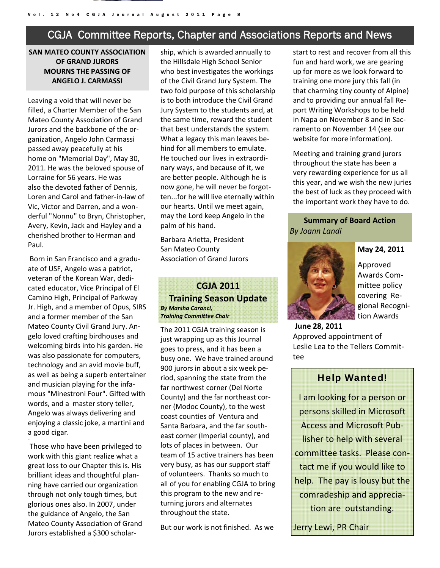## CGJA Committee Reports, Chapter and Associations Reports and News

#### **SAN MATEO COUNTY ASSOCIATION OF GRAND JURORS MOURNS THE PASSING OF ANGELO J. CARMASSI**

Leaving a void that will never be filled, a Charter Member of the San Mateo County Association of Grand Jurors and the backbone of the or‐ ganization, Angelo John Carmassi passed away peacefully at his home on "Memorial Day", May 30, 2011. He was the beloved spouse of Lorraine for 56 years. He was also the devoted father of Dennis, Loren and Carol and father‐in‐law of Vic, Victor and Darren, and a won‐ derful "Nonnu" to Bryn, Christopher, Avery, Kevin, Jack and Hayley and a cherished brother to Herman and Paul.

Born in San Francisco and a gradu‐ ate of USF, Angelo was a patriot, veteran of the Korean War, dedi‐ cated educator, Vice Principal of El Camino High, Principal of Parkway Jr. High, and a member of Opus, SIRS and a former member of the San Mateo County Civil Grand Jury. An‐ gelo loved crafting birdhouses and welcoming birds into his garden. He was also passionate for computers, technology and an avid movie buff, as well as being a superb entertainer and musician playing for the infa‐ mous "Minestroni Four". Gifted with words, and a master story teller, Angelo was always delivering and enjoying a classic joke, a martini and a good cigar.

Those who have been privileged to work with this giant realize what a great loss to our Chapter this is. His brilliant ideas and thoughtful plan‐ ning have carried our organization through not only tough times, but glorious ones also. In 2007, under the guidance of Angelo, the San Mateo County Association of Grand Jurors established a \$300 scholar‐

=

ship, which is awarded annually to the Hillsdale High School Senior who best investigates the workings of the Civil Grand Jury System. The two fold purpose of this scholarship is to both introduce the Civil Grand Jury System to the students and, at the same time, reward the student that best understands the system. What a legacy this man leaves be‐ hind for all members to emulate. He touched our lives in extraordi‐ nary ways, and because of it, we are better people. Although he is now gone, he will never be forgot‐ ten...for he will live eternally within our hearts. Until we meet again, may the Lord keep Angelo in the palm of his hand.

Barbara Arietta, President San Mateo County Association of Grand Jurors

## **CGJA 2011 Training Season Update** *By Marsha Caranci, Training Committee Chair*

The 2011 CGJA training season is just wrapping up as this Journal goes to press, and it has been a busy one. We have trained around 900 jurors in about a six week pe‐ riod, spanning the state from the far northwest corner (Del Norte County) and the far northeast cor‐ ner (Modoc County), to the west coast counties of Ventura and Santa Barbara, and the far south‐ east corner (Imperial county), and lots of places in between. Our team of 15 active trainers has been very busy, as has our support staff of volunteers. Thanks so much to all of you for enabling CGJA to bring this program to the new and re‐ turning jurors and alternates throughout the state.

But our work is not finished. As we

start to rest and recover from all this fun and hard work, we are gearing up for more as we look forward to training one more jury this fall (in that charming tiny county of Alpine) and to providing our annual fall Re‐ port Writing Workshops to be held in Napa on November 8 and in Sac‐ ramento on November 14 (see our website for more information).

Meeting and training grand jurors throughout the state has been a very rewarding experience for us all this year, and we wish the new juries the best of luck as they proceed with the important work they have to do.

### **Summary of Board Action**  *By Joann Landi*



**May 24, 2011** 

Approved Awards Com‐ mittee policy covering Re‐ gional Recogni‐ tion Awards

**June 28, 2011** Approved appointment of Leslie Lea to the Tellers Commit‐ tee

#### Help Wanted!

I am looking for a person or persons skilled in Microsoft Access and Microsoft Pub‐ lisher to help with several committee tasks. Please con‐ tact me if you would like to help. The pay is lousy but the comradeship and apprecia‐ tion are outstanding.

Jerry Lewi, PR Chair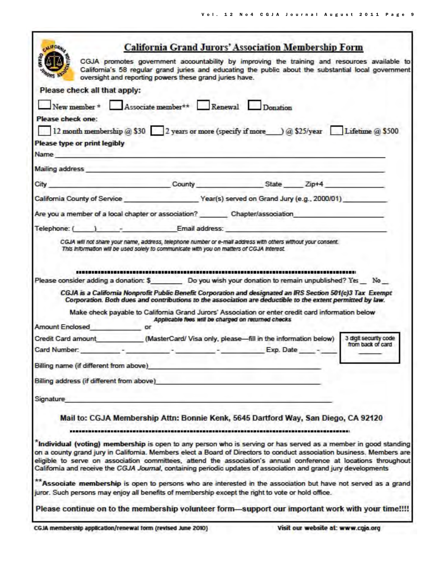٦

| <b>LUFORAL</b>                                                                                                                                                                                                                                                                                                                                                                                                                                                                                                                                                                                                                                                                                         | <b>California Grand Jurors' Association Membership Form</b>                                                                                                                                                                                                                                                                   |                                                    |                                            |
|--------------------------------------------------------------------------------------------------------------------------------------------------------------------------------------------------------------------------------------------------------------------------------------------------------------------------------------------------------------------------------------------------------------------------------------------------------------------------------------------------------------------------------------------------------------------------------------------------------------------------------------------------------------------------------------------------------|-------------------------------------------------------------------------------------------------------------------------------------------------------------------------------------------------------------------------------------------------------------------------------------------------------------------------------|----------------------------------------------------|--------------------------------------------|
|                                                                                                                                                                                                                                                                                                                                                                                                                                                                                                                                                                                                                                                                                                        | CGJA promotes government accountability by improving the training and resources available to<br>California's 58 regular grand juries and educating the public about the substantial local government<br>oversight and reporting powers these grand juries have.                                                               |                                                    |                                            |
| Please check all that apply:                                                                                                                                                                                                                                                                                                                                                                                                                                                                                                                                                                                                                                                                           |                                                                                                                                                                                                                                                                                                                               |                                                    |                                            |
| New member * Associate member ** Renewal Donation                                                                                                                                                                                                                                                                                                                                                                                                                                                                                                                                                                                                                                                      |                                                                                                                                                                                                                                                                                                                               |                                                    |                                            |
| Please check one:                                                                                                                                                                                                                                                                                                                                                                                                                                                                                                                                                                                                                                                                                      |                                                                                                                                                                                                                                                                                                                               |                                                    |                                            |
| 12 month membership @ \$30 2 years or more (specify if more ) @ \$25/year Lifetime @ \$500                                                                                                                                                                                                                                                                                                                                                                                                                                                                                                                                                                                                             |                                                                                                                                                                                                                                                                                                                               |                                                    |                                            |
| Please type or print legibly                                                                                                                                                                                                                                                                                                                                                                                                                                                                                                                                                                                                                                                                           |                                                                                                                                                                                                                                                                                                                               |                                                    |                                            |
| Name and the contract of the contract of the contract of the contract of the contract of the contract of the contract of the contract of the contract of the contract of the contract of the contract of the contract of the c                                                                                                                                                                                                                                                                                                                                                                                                                                                                         |                                                                                                                                                                                                                                                                                                                               |                                                    |                                            |
| Mailing address                                                                                                                                                                                                                                                                                                                                                                                                                                                                                                                                                                                                                                                                                        |                                                                                                                                                                                                                                                                                                                               |                                                    |                                            |
| City County County State Zip+4                                                                                                                                                                                                                                                                                                                                                                                                                                                                                                                                                                                                                                                                         |                                                                                                                                                                                                                                                                                                                               |                                                    |                                            |
| California County of Service Year(s) served on Grand Jury (e.g., 2000/01)                                                                                                                                                                                                                                                                                                                                                                                                                                                                                                                                                                                                                              |                                                                                                                                                                                                                                                                                                                               |                                                    |                                            |
|                                                                                                                                                                                                                                                                                                                                                                                                                                                                                                                                                                                                                                                                                                        |                                                                                                                                                                                                                                                                                                                               |                                                    |                                            |
| Are you a member of a local chapter or association? Chapter/association                                                                                                                                                                                                                                                                                                                                                                                                                                                                                                                                                                                                                                |                                                                                                                                                                                                                                                                                                                               |                                                    |                                            |
| Telephone: ( ) - Email address:                                                                                                                                                                                                                                                                                                                                                                                                                                                                                                                                                                                                                                                                        |                                                                                                                                                                                                                                                                                                                               |                                                    |                                            |
| Please consider adding a donation: \$ Do you wish your donation to remain unpublished? Yes No<br>Amount Enclosed or<br>Credit Card amount (MasterCard/ Visa only, please—fill in the information below)<br>Card Number: Party Card Number: Party 2014 - Party 2014 - Party 2014 - Party 2014 - Party 2014 - Party 2014 - Party 2014 - Party 2014 - Party 2014 - Party 2014 - Party 2014 - Party 2014 - Party 2014 - Party 2014 - Party 20<br>Billing name (if different from above)                                                                                                                                                                                                                    | CGJA is a California Nonprofit Public Benefit Corporation and designated an IRS Section 501(c)3 Tax Exempt<br>Corporation. Both dues and contributions to the association are deductible to the extent permitted by law.<br>Make check payable to California Grand Jurors' Association or enter credit card information below | Applicable fees will be charged on returned checks | 3 digit security code<br>from back of card |
| Billing address (if different from above)                                                                                                                                                                                                                                                                                                                                                                                                                                                                                                                                                                                                                                                              |                                                                                                                                                                                                                                                                                                                               |                                                    |                                            |
| Signature                                                                                                                                                                                                                                                                                                                                                                                                                                                                                                                                                                                                                                                                                              |                                                                                                                                                                                                                                                                                                                               |                                                    |                                            |
| "Individual (voting) membership is open to any person who is serving or has served as a member in good standing<br>on a county grand jury in California. Members elect a Board of Directors to conduct association business. Members are<br>eligible to serve on association committees, attend the association's annual conference at locations throughout<br>California and receive the CGJA Journal, containing periodic updates of association and grand jury developments<br>** Associate membership is open to persons who are interested in the association but have not served as a grand<br>juror. Such persons may enjoy all benefits of membership except the right to vote or hold office. | Mail to: CGJA Membership Attn: Bonnie Kenk, 5645 Dartford Way, San Diego, CA 92120                                                                                                                                                                                                                                            |                                                    |                                            |
| Please continue on to the membership volunteer form—support our important work with your time!!!!                                                                                                                                                                                                                                                                                                                                                                                                                                                                                                                                                                                                      |                                                                                                                                                                                                                                                                                                                               |                                                    |                                            |
|                                                                                                                                                                                                                                                                                                                                                                                                                                                                                                                                                                                                                                                                                                        |                                                                                                                                                                                                                                                                                                                               |                                                    |                                            |

г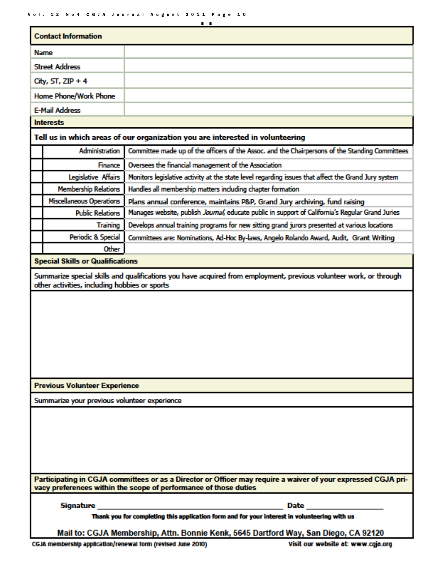Vol. 12 No4 CGJA Journal August 2011 Page 10

|                                                                                                                                                                                   | . .                                                                                                           |  |  |  |
|-----------------------------------------------------------------------------------------------------------------------------------------------------------------------------------|---------------------------------------------------------------------------------------------------------------|--|--|--|
| <b>Contact Information</b>                                                                                                                                                        |                                                                                                               |  |  |  |
| Name                                                                                                                                                                              |                                                                                                               |  |  |  |
| <b>Street Address</b>                                                                                                                                                             |                                                                                                               |  |  |  |
| City, $ST$ , ZIP + 4                                                                                                                                                              |                                                                                                               |  |  |  |
| Home Phone/Work Phone                                                                                                                                                             |                                                                                                               |  |  |  |
| <b>E-Mail Address</b>                                                                                                                                                             |                                                                                                               |  |  |  |
| <b>Interests</b>                                                                                                                                                                  |                                                                                                               |  |  |  |
| Tell us in which areas of our organization you are interested in volunteering                                                                                                     |                                                                                                               |  |  |  |
| Administration                                                                                                                                                                    | Committee made up of the officers of the Assoc. and the Chairpersons of the Standing Committees               |  |  |  |
| <b>Finance</b>                                                                                                                                                                    | Oversees the financial management of the Association                                                          |  |  |  |
| Legislative Affairs                                                                                                                                                               | Monitors legislative activity at the state level regarding issues that affect the Grand Jury system           |  |  |  |
| <b>Membership Relations</b>                                                                                                                                                       | Handles all membership matters including chapter formation                                                    |  |  |  |
| <b>Miscellaneous Operations</b>                                                                                                                                                   | Plans annual conference, maintains P&P, Grand Jury archiving, fund raising                                    |  |  |  |
| <b>Public Relations</b>                                                                                                                                                           | Manages website, publish Journal, educate public in support of California's Regular Grand Juries              |  |  |  |
| Training                                                                                                                                                                          | Develops annual training programs for new sitting grand jurors presented at various locations                 |  |  |  |
| Periodic & Special                                                                                                                                                                | Committees are: Nominations, Ad-Hoc By-laws, Angelo Rolando Award, Audit, Grant Writing                       |  |  |  |
| Other                                                                                                                                                                             |                                                                                                               |  |  |  |
| <b>Special Skills or Qualifications</b>                                                                                                                                           |                                                                                                               |  |  |  |
| Summarize special skills and qualifications you have acquired from employment, previous volunteer work, or through<br>other activities, including hobbies or sports               |                                                                                                               |  |  |  |
|                                                                                                                                                                                   |                                                                                                               |  |  |  |
| <b>Previous Volunteer Experience</b>                                                                                                                                              |                                                                                                               |  |  |  |
| Summarize your previous volunteer experience                                                                                                                                      |                                                                                                               |  |  |  |
|                                                                                                                                                                                   |                                                                                                               |  |  |  |
| Participating in CGJA committees or as a Director or Officer may require a waiver of your expressed CGJA pri-<br>vacy preferences within the scope of performance of those duties |                                                                                                               |  |  |  |
|                                                                                                                                                                                   | Date and the second state of the second state and state and state and state and state and state and state and |  |  |  |
| Thank you for completing this application form and for your interest in volunteering with us                                                                                      |                                                                                                               |  |  |  |
|                                                                                                                                                                                   | Mail to: CGJA Membership, Attn. Bonnie Kenk, 5645 Dartford Way, San Diego, CA 92120                           |  |  |  |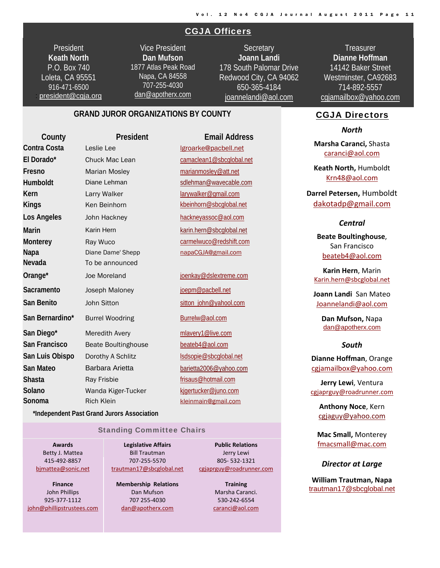#### CGJA Officers

**President Keath North**  P.O. Box 740 Loleta, CA 95551 916-471-6500 : president@cgja.org

Vice President **Dan Mufson** 1877 Atlas Peak Road Napa, CA 84558 707-255-4030 dan@apotherx.com

**Secretary Joann Landi** 178 South Palomar Drive Redwood City, CA 94062 650-365-4184 joannelandi@aol.com

**Treasurer Dianne Hoffman**  14142 Baker Street Westminster, CA92683 714-892-5557 cgjamailbox@yahoo.com

#### **GRAND JUROR ORGANIZATIONS BY COUNTY**

**County President Email Address** Contra Costa Leslie Lee lgroarke@pacbell.net El Dorado\* Chuck Mac Lean camaclean1@sbcglobal.net **Fresno** Marian Mosley marianmosley@att.net Humboldt Diane Lehman sdlehman@wavecable.com **Kern** Larry Walker larywalker@gmail.com **Kings** Ken Beinhorn kbeinhorn@sbcglobal.net Los Angeles John Hackney **hackneyassoc@aol.com Marin** Karin Hern karin.hern@sbcglobal.net **Monterey Ray Wuco carmelwuco@redshift.com Napa Diane Dame' Shepp** napaCGJA@gmail.com **Nevada** To be announced **Orange\*** Joe Moreland in a joenkay@dslextreme.com Sacramento Joseph Maloney **igepm@pacbell.net** San Benito **John Sitton** sitton sitton sitton\_john@yahool.com San Bernardino\* Burrel Woodring **Burnal Burrelw@aol.com** San Diego\* Meredith Avery mlavery1@live.com San Francisco Beate Boultinghouse beateb4@aol.com San Luis Obispo Dorothy A Schlitz **San Luis Obispo Dorothy A Schlitz** lsdsopie@sbcglobal.net **San Mateo Barbara Arietta barietta2006@yahoo.com Shasta** Ray Frisbie **Ray Frisbie Ray Frisbie Ray Frisaus@hotmail.com** Solano **Wanda Kiger-Tucker** Kigertucker@juno.com **Sonoma** Rich Klein **Rich Klein** Kleinmain@gmail.com

 **\*Independent Past Grand Jurors Association**

#### Standing Committee Chairs

**Awards** Betty J. Mattea 415‐492‐8857 bjmattea@sonic.net

**Finance** John Phillips 925‐377‐1112 john@phillipstrustees.com

**Legislative Affairs** Bill Trautman 707‐255‐5570 trautman17@sbcglobal.net

**Membership Relations** Dan Mufson 707 255‐4030 dan@apotherx.com

**Public Relations** Jerry Lewi 805‐ 532‐1321 cgjaprguy@roadrunner.com

> **Training** Marsha Caranci. 530‐242‐6554 caranci@aol.com

#### CGJA Directors

*North*

**Marsha Caranci,** Shasta caranci@aol.com

**Keath North,** Humboldt Krn48@aol.com

**Darrel Petersen,** Humboldt dakotadp@gmail.com

#### *Central*

**Beate Boultinghouse**, San Francisco beateb4@aol.com

**Karin Hern**, Marin Karin.hern@sbcglobal.net

**Joann Landi** San Mateo Joannelandi@aol.com

> **Dan Mufson,** Napa dan@apotherx.com

#### *South*

**Dianne Hoffman**, Orange cgjamailbox@yahoo.com

**Jerry Lewi**, Ventura cgjaprguy@roadrunner.com

**Anthony Noce**, Kern cgjaguy@yahoo.com

**Mac Small,** Monterey fmacsmall@mac.com

*Director at Large*

**William Trautman, Napa** trautman17@sbcglobal.net